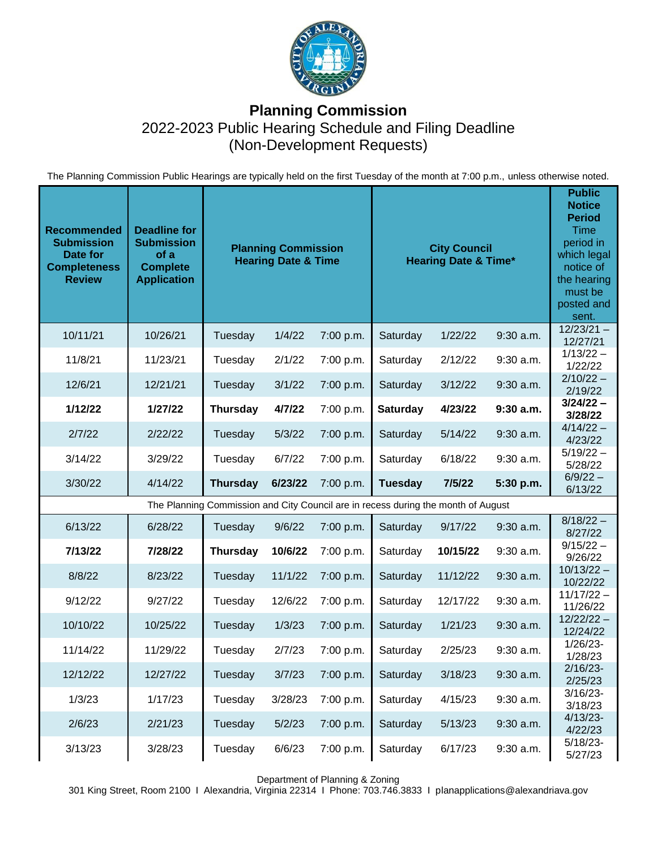

## **Planning Commission** 2022-2023 Public Hearing Schedule and Filing Deadline (Non-Development Requests)

The Planning Commission Public Hearings are typically held on the first Tuesday of the month at 7:00 p.m., unless otherwise noted.

| <b>Recommended</b><br><b>Submission</b><br>Date for<br><b>Completeness</b><br><b>Review</b> | <b>Deadline for</b><br><b>Submission</b><br>of a<br><b>Complete</b><br><b>Application</b> | <b>Planning Commission</b><br><b>Hearing Date &amp; Time</b> |         |           | <b>City Council</b><br><b>Hearing Date &amp; Time*</b> |          |             | <b>Public</b><br><b>Notice</b><br><b>Period</b><br><b>Time</b><br>period in<br>which legal<br>notice of<br>the hearing<br>must be<br>posted and<br>sent. |  |  |
|---------------------------------------------------------------------------------------------|-------------------------------------------------------------------------------------------|--------------------------------------------------------------|---------|-----------|--------------------------------------------------------|----------|-------------|----------------------------------------------------------------------------------------------------------------------------------------------------------|--|--|
| 10/11/21                                                                                    | 10/26/21                                                                                  | Tuesday                                                      | 1/4/22  | 7:00 p.m. | Saturday                                               | 1/22/22  | $9:30$ a.m. | $12/23/21 -$<br>12/27/21                                                                                                                                 |  |  |
| 11/8/21                                                                                     | 11/23/21                                                                                  | Tuesday                                                      | 2/1/22  | 7:00 p.m. | Saturday                                               | 2/12/22  | $9:30$ a.m. | $1/13/22 -$<br>1/22/22                                                                                                                                   |  |  |
| 12/6/21                                                                                     | 12/21/21                                                                                  | Tuesday                                                      | 3/1/22  | 7:00 p.m. | Saturday                                               | 3/12/22  | $9:30$ a.m. | $2/10/22 -$<br>2/19/22                                                                                                                                   |  |  |
| 1/12/22                                                                                     | 1/27/22                                                                                   | <b>Thursday</b>                                              | 4/7/22  | 7:00 p.m. | Saturday                                               | 4/23/22  | $9:30$ a.m. | $3/24/22 -$<br>3/28/22                                                                                                                                   |  |  |
| 2/7/22                                                                                      | 2/22/22                                                                                   | Tuesday                                                      | 5/3/22  | 7:00 p.m. | Saturday                                               | 5/14/22  | 9:30 a.m.   | $4/14/22 -$<br>4/23/22                                                                                                                                   |  |  |
| 3/14/22                                                                                     | 3/29/22                                                                                   | Tuesday                                                      | 6/7/22  | 7:00 p.m. | Saturday                                               | 6/18/22  | $9:30$ a.m. | $5/19/22 -$<br>5/28/22                                                                                                                                   |  |  |
| 3/30/22                                                                                     | 4/14/22                                                                                   | <b>Thursday</b>                                              | 6/23/22 | 7:00 p.m. | <b>Tuesday</b>                                         | 7/5/22   | 5:30 p.m.   | $6/9/22 -$<br>6/13/22                                                                                                                                    |  |  |
| The Planning Commission and City Council are in recess during the month of August           |                                                                                           |                                                              |         |           |                                                        |          |             |                                                                                                                                                          |  |  |
| 6/13/22                                                                                     | 6/28/22                                                                                   | Tuesday                                                      | 9/6/22  | 7:00 p.m. | Saturday                                               | 9/17/22  | $9:30$ a.m. | $8/18/22 -$<br>8/27/22                                                                                                                                   |  |  |
| 7/13/22                                                                                     | 7/28/22                                                                                   | <b>Thursday</b>                                              | 10/6/22 | 7:00 p.m. | Saturday                                               | 10/15/22 | 9:30 a.m.   | $9/15/22 -$<br>9/26/22                                                                                                                                   |  |  |
| 8/8/22                                                                                      | 8/23/22                                                                                   | Tuesday                                                      | 11/1/22 | 7:00 p.m. | Saturday                                               | 11/12/22 | 9:30 a.m.   | $10/13/22 -$<br>10/22/22                                                                                                                                 |  |  |
| 9/12/22                                                                                     | 9/27/22                                                                                   | Tuesday                                                      | 12/6/22 | 7:00 p.m. | Saturday                                               | 12/17/22 | 9:30 a.m.   | $11/17/22 -$<br>11/26/22                                                                                                                                 |  |  |
| 10/10/22                                                                                    | 10/25/22                                                                                  | Tuesday                                                      | 1/3/23  | 7:00 p.m. | Saturday                                               | 1/21/23  | $9:30$ a.m. | $12/22/22 -$<br>12/24/22                                                                                                                                 |  |  |
| 11/14/22                                                                                    | 11/29/22                                                                                  | Tuesday                                                      | 2/7/23  | 7:00 p.m. | Saturday                                               | 2/25/23  | $9:30$ a.m. | $1/26/23-$<br>1/28/23                                                                                                                                    |  |  |
| 12/12/22                                                                                    | 12/27/22                                                                                  | Tuesday                                                      | 3/7/23  | 7:00 p.m. | Saturday                                               | 3/18/23  | 9:30 a.m.   | $2/16/23 -$<br>2/25/23                                                                                                                                   |  |  |
| 1/3/23                                                                                      | 1/17/23                                                                                   | Tuesday                                                      | 3/28/23 | 7:00 p.m. | Saturday                                               | 4/15/23  | 9:30 a.m.   | $3/16/23 -$<br>3/18/23                                                                                                                                   |  |  |
| 2/6/23                                                                                      | 2/21/23                                                                                   | Tuesday                                                      | 5/2/23  | 7:00 p.m. | Saturday                                               | 5/13/23  | 9:30 a.m.   | $4/13/23$ -<br>4/22/23                                                                                                                                   |  |  |
| 3/13/23                                                                                     | 3/28/23                                                                                   | Tuesday                                                      | 6/6/23  | 7:00 p.m. | Saturday                                               | 6/17/23  | 9:30 a.m.   | $5/18/23-$<br>5/27/23                                                                                                                                    |  |  |

Department of Planning & Zoning

301 King Street, Room 2100 I Alexandria, Virginia 22314 I Phone: 703.746.3833 I planapplications@alexandriava.gov